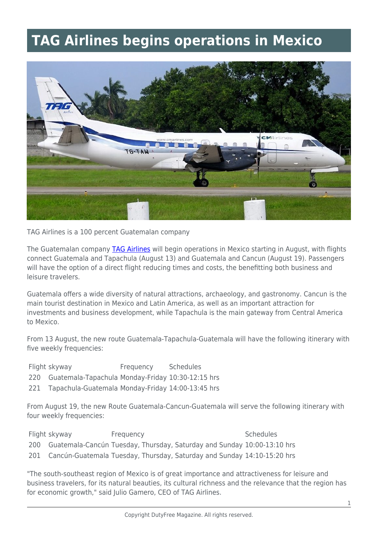## **TAG Airlines begins operations in Mexico**



TAG Airlines is a 100 percent Guatemalan company

The Guatemalan company [TAG Airlines](https://www.tag.com.gt/en/) will begin operations in Mexico starting in August, with flights connect Guatemala and Tapachula (August 13) and Guatemala and Cancun (August 19). Passengers will have the option of a direct flight reducing times and costs, the benefitting both business and leisure travelers.

Guatemala offers a wide diversity of natural attractions, archaeology, and gastronomy. Cancun is the main tourist destination in Mexico and Latin America, as well as an important attraction for investments and business development, while Tapachula is the main gateway from Central America to Mexico.

From 13 August, the new route Guatemala-Tapachula-Guatemala will have the following itinerary with five weekly frequencies:

- Flight skyway **Frequency** Schedules
- 220 Guatemala-Tapachula Monday-Friday 10:30-12:15 hrs
- 221 Tapachula-Guatemala Monday-Friday 14:00-13:45 hrs

From August 19, the new Route Guatemala-Cancun-Guatemala will serve the following itinerary with four weekly frequencies:

| Flight skyway | Frequency                                                                   | <b>Schedules</b> |
|---------------|-----------------------------------------------------------------------------|------------------|
|               | 200 Guatemala-Cancún Tuesday, Thursday, Saturday and Sunday 10:00-13:10 hrs |                  |
|               | 201 Cancún-Guatemala Tuesday, Thursday, Saturday and Sunday 14:10-15:20 hrs |                  |

"The south-southeast region of Mexico is of great importance and attractiveness for leisure and business travelers, for its natural beauties, its cultural richness and the relevance that the region has for economic growth," said Julio Gamero, CEO of TAG Airlines.